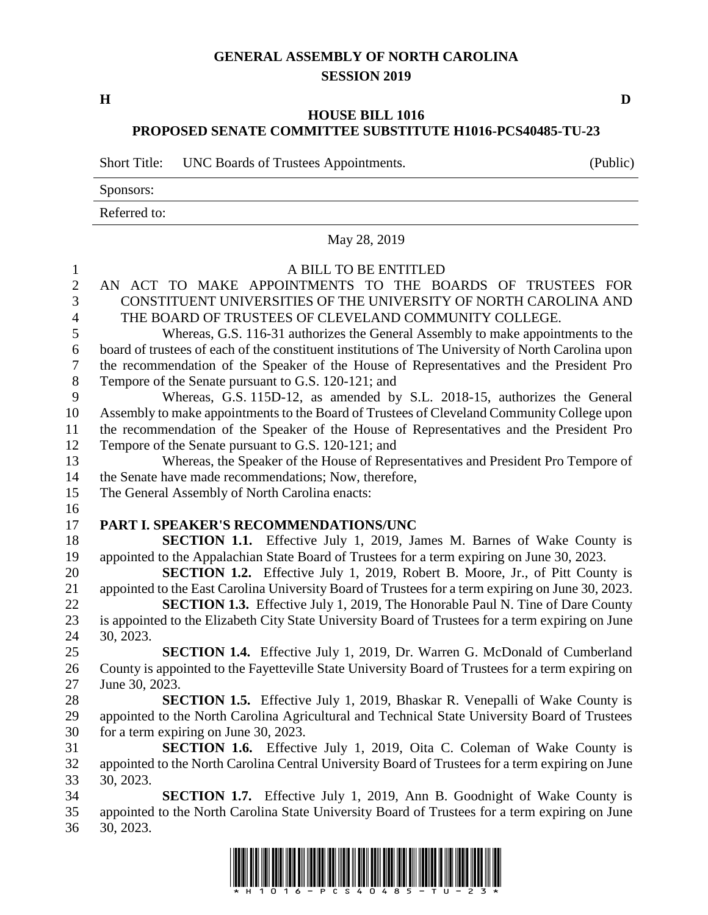## **GENERAL ASSEMBLY OF NORTH CAROLINA SESSION 2019**

**H D**

## **HOUSE BILL 1016 PROPOSED SENATE COMMITTEE SUBSTITUTE H1016-PCS40485-TU-23**

Short Title: UNC Boards of Trustees Appointments. (Public)

Sponsors:

Referred to:

|                | May 28, 2019                                                                                       |
|----------------|----------------------------------------------------------------------------------------------------|
| 1              | A BILL TO BE ENTITLED                                                                              |
| $\overline{2}$ | AN ACT TO MAKE APPOINTMENTS TO THE BOARDS OF TRUSTEES FOR                                          |
| 3              | CONSTITUENT UNIVERSITIES OF THE UNIVERSITY OF NORTH CAROLINA AND                                   |
| $\overline{4}$ | THE BOARD OF TRUSTEES OF CLEVELAND COMMUNITY COLLEGE.                                              |
| 5              | Whereas, G.S. 116-31 authorizes the General Assembly to make appointments to the                   |
| 6              | board of trustees of each of the constituent institutions of The University of North Carolina upon |
| 7              | the recommendation of the Speaker of the House of Representatives and the President Pro            |
| 8              | Tempore of the Senate pursuant to G.S. 120-121; and                                                |
| 9              | Whereas, G.S. 115D-12, as amended by S.L. 2018-15, authorizes the General                          |
| 10             | Assembly to make appointments to the Board of Trustees of Cleveland Community College upon         |
| 11             | the recommendation of the Speaker of the House of Representatives and the President Pro            |
| 12             | Tempore of the Senate pursuant to G.S. 120-121; and                                                |
| 13             | Whereas, the Speaker of the House of Representatives and President Pro Tempore of                  |
| 14             | the Senate have made recommendations; Now, therefore,                                              |
| 15             | The General Assembly of North Carolina enacts:                                                     |
| 16             |                                                                                                    |
| 17             | PART I. SPEAKER'S RECOMMENDATIONS/UNC                                                              |
| 18             | <b>SECTION 1.1.</b> Effective July 1, 2019, James M. Barnes of Wake County is                      |
| 19             | appointed to the Appalachian State Board of Trustees for a term expiring on June 30, 2023.         |
| 20             | <b>SECTION 1.2.</b> Effective July 1, 2019, Robert B. Moore, Jr., of Pitt County is                |
| 21             | appointed to the East Carolina University Board of Trustees for a term expiring on June 30, 2023.  |
| 22             | SECTION 1.3. Effective July 1, 2019, The Honorable Paul N. Tine of Dare County                     |
| 23             | is appointed to the Elizabeth City State University Board of Trustees for a term expiring on June  |
| 24             | 30, 2023.                                                                                          |
| 25             | <b>SECTION 1.4.</b> Effective July 1, 2019, Dr. Warren G. McDonald of Cumberland                   |
| 26             | County is appointed to the Fayetteville State University Board of Trustees for a term expiring on  |
| 27             | June 30, 2023.                                                                                     |
| 28             | SECTION 1.5. Effective July 1, 2019, Bhaskar R. Venepalli of Wake County is                        |
| 29             | appointed to the North Carolina Agricultural and Technical State University Board of Trustees      |
| 30             | for a term expiring on June 30, 2023.                                                              |
| 31             | <b>SECTION 1.6.</b> Effective July 1, 2019, Oita C. Coleman of Wake County is                      |
| 32             | appointed to the North Carolina Central University Board of Trustees for a term expiring on June   |
| 33             | 30, 2023.                                                                                          |
| 34             | <b>SECTION 1.7.</b> Effective July 1, 2019, Ann B. Goodnight of Wake County is                     |
| 35             | appointed to the North Carolina State University Board of Trustees for a term expiring on June     |
| 36             | 30, 2023.                                                                                          |

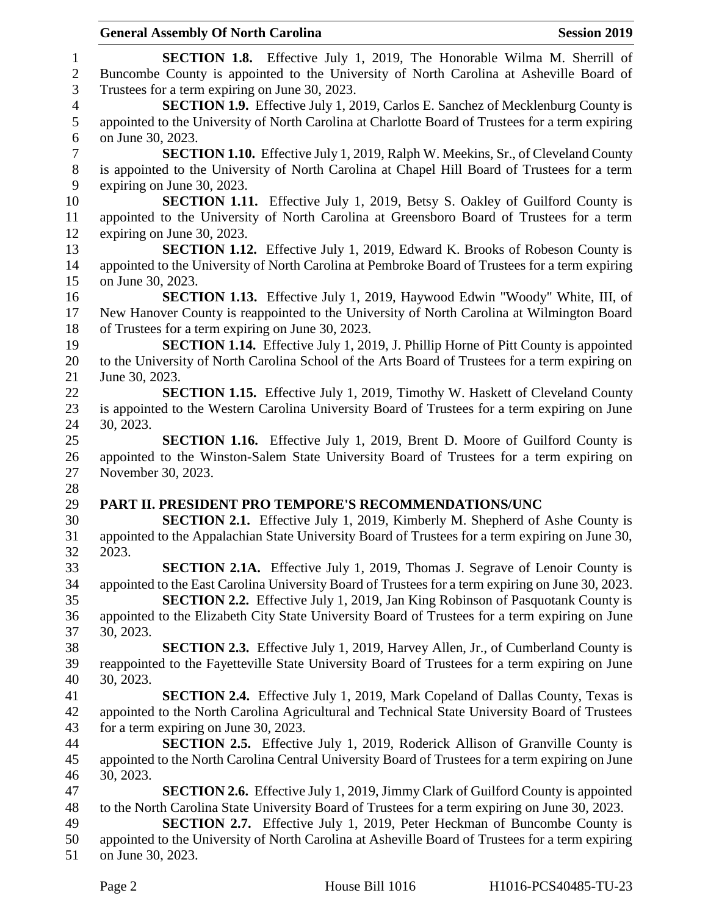|                          | <b>General Assembly Of North Carolina</b><br><b>Session 2019</b>                                  |
|--------------------------|---------------------------------------------------------------------------------------------------|
| $\mathbf{1}$             | <b>SECTION 1.8.</b> Effective July 1, 2019, The Honorable Wilma M. Sherrill of                    |
| $\mathbf{2}$             | Buncombe County is appointed to the University of North Carolina at Asheville Board of            |
| 3                        | Trustees for a term expiring on June 30, 2023.                                                    |
| $\overline{\mathcal{A}}$ | <b>SECTION 1.9.</b> Effective July 1, 2019, Carlos E. Sanchez of Mecklenburg County is            |
| 5                        | appointed to the University of North Carolina at Charlotte Board of Trustees for a term expiring  |
| 6                        | on June 30, 2023.                                                                                 |
| $\boldsymbol{7}$         | <b>SECTION 1.10.</b> Effective July 1, 2019, Ralph W. Meekins, Sr., of Cleveland County           |
| $8\phantom{1}$           | is appointed to the University of North Carolina at Chapel Hill Board of Trustees for a term      |
| 9                        | expiring on June 30, 2023.                                                                        |
| 10                       | <b>SECTION 1.11.</b> Effective July 1, 2019, Betsy S. Oakley of Guilford County is                |
| 11                       | appointed to the University of North Carolina at Greensboro Board of Trustees for a term          |
| 12                       | expiring on June 30, 2023.                                                                        |
| 13                       | SECTION 1.12. Effective July 1, 2019, Edward K. Brooks of Robeson County is                       |
| 14                       | appointed to the University of North Carolina at Pembroke Board of Trustees for a term expiring   |
| 15                       | on June 30, 2023.                                                                                 |
| 16                       | <b>SECTION 1.13.</b> Effective July 1, 2019, Haywood Edwin "Woody" White, III, of                 |
| 17                       | New Hanover County is reappointed to the University of North Carolina at Wilmington Board         |
| 18                       | of Trustees for a term expiring on June 30, 2023.                                                 |
| 19                       | <b>SECTION 1.14.</b> Effective July 1, 2019, J. Phillip Horne of Pitt County is appointed         |
| 20                       | to the University of North Carolina School of the Arts Board of Trustees for a term expiring on   |
| 21                       | June 30, 2023.                                                                                    |
| 22                       | <b>SECTION 1.15.</b> Effective July 1, 2019, Timothy W. Haskett of Cleveland County               |
| 23                       | is appointed to the Western Carolina University Board of Trustees for a term expiring on June     |
| 24                       | 30, 2023.                                                                                         |
| 25                       | <b>SECTION 1.16.</b> Effective July 1, 2019, Brent D. Moore of Guilford County is                 |
| 26                       | appointed to the Winston-Salem State University Board of Trustees for a term expiring on          |
| 27                       | November 30, 2023.                                                                                |
| 28                       |                                                                                                   |
| 29                       | PART II. PRESIDENT PRO TEMPORE'S RECOMMENDATIONS/UNC                                              |
| 30                       | SECTION 2.1. Effective July 1, 2019, Kimberly M. Shepherd of Ashe County is                       |
| 31                       | appointed to the Appalachian State University Board of Trustees for a term expiring on June 30,   |
| 32                       | 2023.                                                                                             |
| 33                       | <b>SECTION 2.1A.</b> Effective July 1, 2019, Thomas J. Segrave of Lenoir County is                |
| 34                       | appointed to the East Carolina University Board of Trustees for a term expiring on June 30, 2023. |
| 35                       | <b>SECTION 2.2.</b> Effective July 1, 2019, Jan King Robinson of Pasquotank County is             |
| 36                       | appointed to the Elizabeth City State University Board of Trustees for a term expiring on June    |
| 37                       | 30, 2023.                                                                                         |
| 38                       | <b>SECTION 2.3.</b> Effective July 1, 2019, Harvey Allen, Jr., of Cumberland County is            |
| 39                       | reappointed to the Fayetteville State University Board of Trustees for a term expiring on June    |
| 40                       | 30, 2023.                                                                                         |
| 41                       | <b>SECTION 2.4.</b> Effective July 1, 2019, Mark Copeland of Dallas County, Texas is              |
| 42                       | appointed to the North Carolina Agricultural and Technical State University Board of Trustees     |
| 43                       | for a term expiring on June 30, 2023.                                                             |
| 44                       | <b>SECTION 2.5.</b> Effective July 1, 2019, Roderick Allison of Granville County is               |
| 45                       | appointed to the North Carolina Central University Board of Trustees for a term expiring on June  |
| 46                       | 30, 2023.                                                                                         |
| 47                       | <b>SECTION 2.6.</b> Effective July 1, 2019, Jimmy Clark of Guilford County is appointed           |
| 48                       | to the North Carolina State University Board of Trustees for a term expiring on June 30, 2023.    |
| 49                       | SECTION 2.7. Effective July 1, 2019, Peter Heckman of Buncombe County is                          |
| 50                       | appointed to the University of North Carolina at Asheville Board of Trustees for a term expiring  |
| 51                       | on June 30, 2023.                                                                                 |